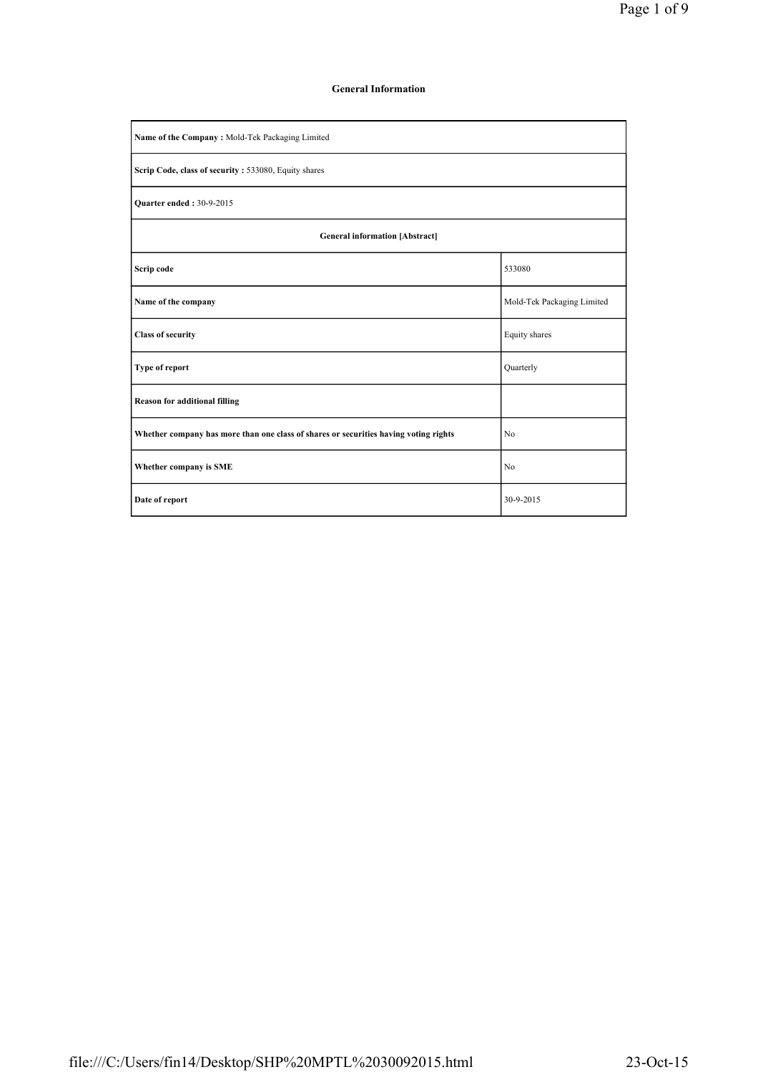### General Information

| Name of the Company: Mold-Tek Packaging Limited                                      |                            |  |  |  |  |  |  |  |
|--------------------------------------------------------------------------------------|----------------------------|--|--|--|--|--|--|--|
| Scrip Code, class of security : 533080, Equity shares                                |                            |  |  |  |  |  |  |  |
| <b>Ouarter ended: 30-9-2015</b>                                                      |                            |  |  |  |  |  |  |  |
| <b>General information [Abstract]</b>                                                |                            |  |  |  |  |  |  |  |
| Scrip code                                                                           | 533080                     |  |  |  |  |  |  |  |
| Name of the company                                                                  | Mold-Tek Packaging Limited |  |  |  |  |  |  |  |
| <b>Class of security</b>                                                             | Equity shares              |  |  |  |  |  |  |  |
| Type of report                                                                       | Quarterly                  |  |  |  |  |  |  |  |
| <b>Reason for additional filling</b>                                                 |                            |  |  |  |  |  |  |  |
| Whether company has more than one class of shares or securities having voting rights | N <sub>0</sub>             |  |  |  |  |  |  |  |
| Whether company is SME                                                               | N <sub>0</sub>             |  |  |  |  |  |  |  |
| Date of report                                                                       | 30-9-2015                  |  |  |  |  |  |  |  |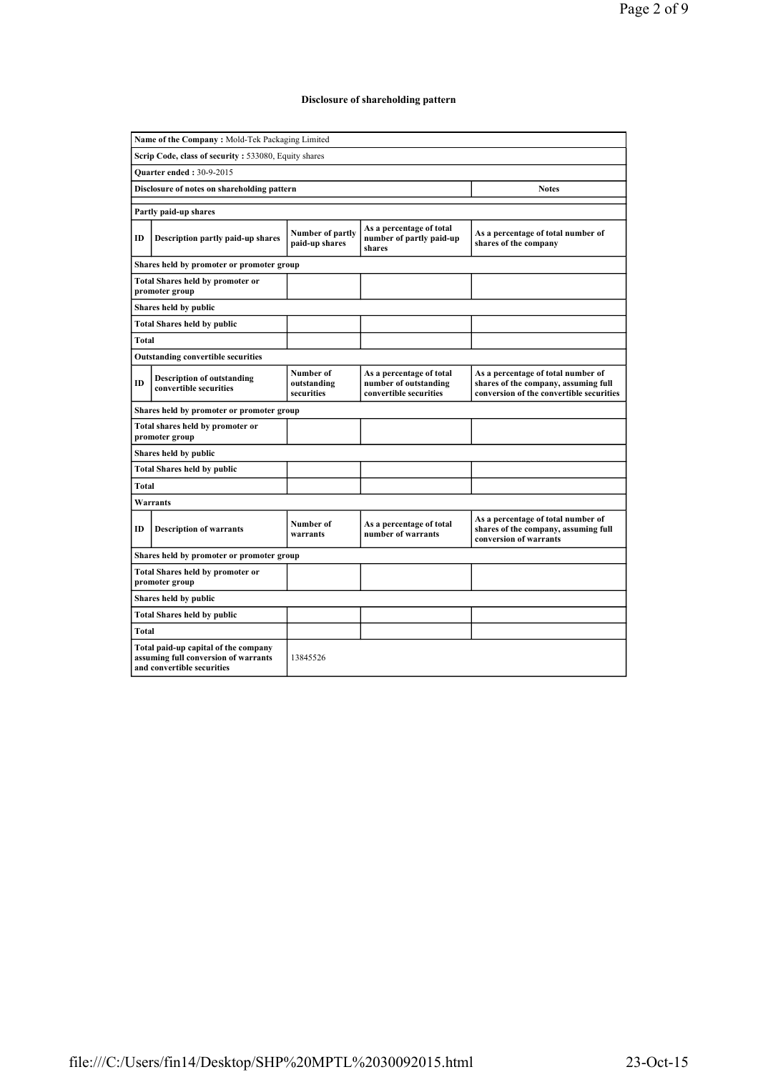# Disclosure of shareholding pattern

| Name of the Company: Mold-Tek Packaging Limited |                                                                                                            |                                        |                                                                             |                                                                                                                        |  |  |  |  |  |  |  |
|-------------------------------------------------|------------------------------------------------------------------------------------------------------------|----------------------------------------|-----------------------------------------------------------------------------|------------------------------------------------------------------------------------------------------------------------|--|--|--|--|--|--|--|
|                                                 | Scrip Code, class of security: 533080, Equity shares                                                       |                                        |                                                                             |                                                                                                                        |  |  |  |  |  |  |  |
| Quarter ended: 30-9-2015                        |                                                                                                            |                                        |                                                                             |                                                                                                                        |  |  |  |  |  |  |  |
|                                                 | Disclosure of notes on shareholding pattern<br><b>Notes</b>                                                |                                        |                                                                             |                                                                                                                        |  |  |  |  |  |  |  |
|                                                 | Partly paid-up shares                                                                                      |                                        |                                                                             |                                                                                                                        |  |  |  |  |  |  |  |
| ID                                              | Description partly paid-up shares                                                                          | Number of partly<br>paid-up shares     | As a percentage of total<br>number of partly paid-up<br>shares              | As a percentage of total number of<br>shares of the company                                                            |  |  |  |  |  |  |  |
|                                                 | Shares held by promoter or promoter group                                                                  |                                        |                                                                             |                                                                                                                        |  |  |  |  |  |  |  |
|                                                 | <b>Total Shares held by promoter or</b><br>promoter group                                                  |                                        |                                                                             |                                                                                                                        |  |  |  |  |  |  |  |
|                                                 | Shares held by public                                                                                      |                                        |                                                                             |                                                                                                                        |  |  |  |  |  |  |  |
|                                                 | <b>Total Shares held by public</b>                                                                         |                                        |                                                                             |                                                                                                                        |  |  |  |  |  |  |  |
| <b>Total</b>                                    |                                                                                                            |                                        |                                                                             |                                                                                                                        |  |  |  |  |  |  |  |
|                                                 | <b>Outstanding convertible securities</b>                                                                  |                                        |                                                                             |                                                                                                                        |  |  |  |  |  |  |  |
| ID                                              | <b>Description of outstanding</b><br>convertible securities                                                | Number of<br>outstanding<br>securities | As a percentage of total<br>number of outstanding<br>convertible securities | As a percentage of total number of<br>shares of the company, assuming full<br>conversion of the convertible securities |  |  |  |  |  |  |  |
|                                                 | Shares held by promoter or promoter group                                                                  |                                        |                                                                             |                                                                                                                        |  |  |  |  |  |  |  |
|                                                 | Total shares held by promoter or<br>promoter group                                                         |                                        |                                                                             |                                                                                                                        |  |  |  |  |  |  |  |
|                                                 | Shares held by public                                                                                      |                                        |                                                                             |                                                                                                                        |  |  |  |  |  |  |  |
|                                                 | <b>Total Shares held by public</b>                                                                         |                                        |                                                                             |                                                                                                                        |  |  |  |  |  |  |  |
| Total                                           |                                                                                                            |                                        |                                                                             |                                                                                                                        |  |  |  |  |  |  |  |
|                                                 | <b>Warrants</b>                                                                                            |                                        |                                                                             |                                                                                                                        |  |  |  |  |  |  |  |
| ID                                              | <b>Description of warrants</b>                                                                             | Number of<br>warrants                  | As a percentage of total<br>number of warrants                              | As a percentage of total number of<br>shares of the company, assuming full<br>conversion of warrants                   |  |  |  |  |  |  |  |
|                                                 | Shares held by promoter or promoter group                                                                  |                                        |                                                                             |                                                                                                                        |  |  |  |  |  |  |  |
|                                                 | <b>Total Shares held by promoter or</b><br>promoter group                                                  |                                        |                                                                             |                                                                                                                        |  |  |  |  |  |  |  |
|                                                 | Shares held by public                                                                                      |                                        |                                                                             |                                                                                                                        |  |  |  |  |  |  |  |
|                                                 | <b>Total Shares held by public</b>                                                                         |                                        |                                                                             |                                                                                                                        |  |  |  |  |  |  |  |
| <b>Total</b>                                    |                                                                                                            |                                        |                                                                             |                                                                                                                        |  |  |  |  |  |  |  |
|                                                 | Total paid-up capital of the company<br>assuming full conversion of warrants<br>and convertible securities | 13845526                               |                                                                             |                                                                                                                        |  |  |  |  |  |  |  |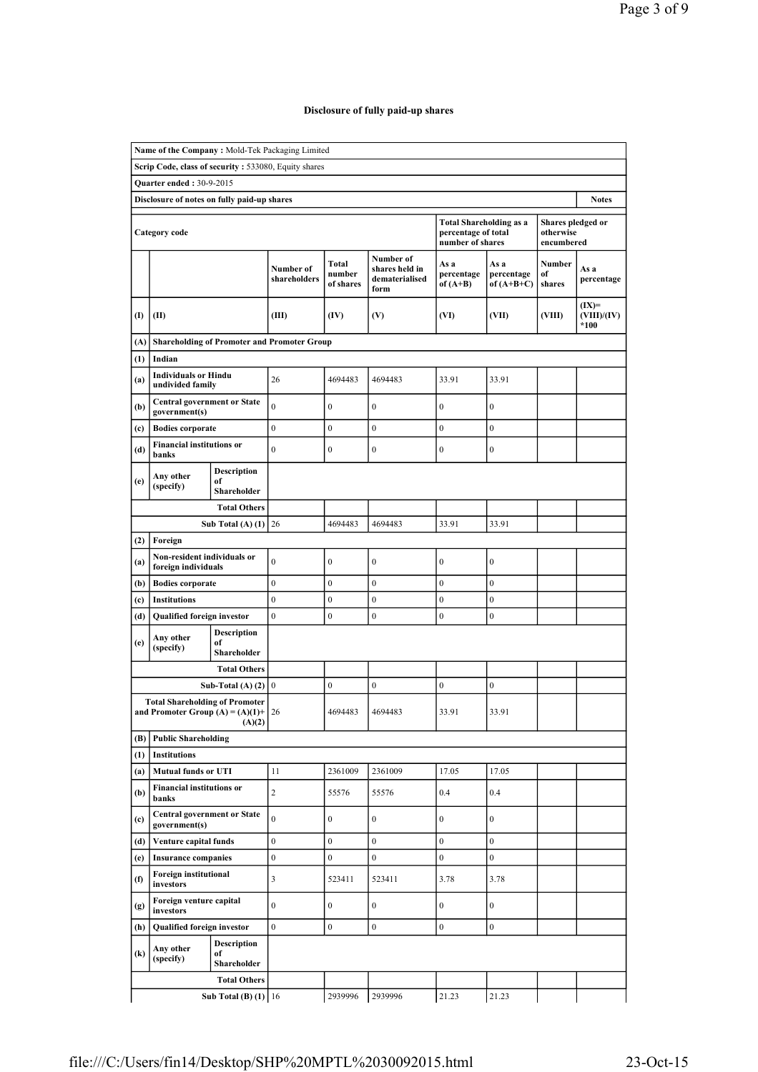# Disclosure of fully paid-up shares

|                                                             | Name of the Company: Mold-Tek Packaging Limited                              |                                         |                           |                              |                                                       |                                                                           |                                    |                                              |                                  |  |
|-------------------------------------------------------------|------------------------------------------------------------------------------|-----------------------------------------|---------------------------|------------------------------|-------------------------------------------------------|---------------------------------------------------------------------------|------------------------------------|----------------------------------------------|----------------------------------|--|
|                                                             | Scrip Code, class of security: 533080, Equity shares                         |                                         |                           |                              |                                                       |                                                                           |                                    |                                              |                                  |  |
|                                                             | <b>Ouarter ended: 30-9-2015</b>                                              |                                         |                           |                              |                                                       |                                                                           |                                    |                                              |                                  |  |
| Disclosure of notes on fully paid-up shares<br><b>Notes</b> |                                                                              |                                         |                           |                              |                                                       |                                                                           |                                    |                                              |                                  |  |
|                                                             | Category code                                                                |                                         |                           |                              |                                                       | <b>Total Shareholding as a</b><br>percentage of total<br>number of shares |                                    | Shares pledged or<br>otherwise<br>encumbered |                                  |  |
|                                                             |                                                                              |                                         | Number of<br>shareholders | Total<br>number<br>of shares | Number of<br>shares held in<br>dematerialised<br>form | As a<br>percentage<br>of $(A+B)$                                          | As a<br>percentage<br>of $(A+B+C)$ | <b>Number</b><br>of<br>shares                | As a<br>percentage               |  |
| $\mathbf{I}$                                                | (II)                                                                         |                                         | (III)                     | (IV)                         | (V)                                                   | (VI)                                                                      | (VII)                              | (VIII)                                       | $(IX)=$<br>(VIII)/(IV)<br>$*100$ |  |
| (A)                                                         | <b>Shareholding of Promoter and Promoter Group</b>                           |                                         |                           |                              |                                                       |                                                                           |                                    |                                              |                                  |  |
| (1)                                                         | Indian                                                                       |                                         |                           |                              |                                                       |                                                                           |                                    |                                              |                                  |  |
| (a)                                                         | <b>Individuals or Hindu</b><br>undivided family                              |                                         | 26                        | 4694483                      | 4694483                                               | 33.91                                                                     | 33.91                              |                                              |                                  |  |
| (b)                                                         | <b>Central government or State</b><br>government(s)                          |                                         | $\overline{0}$            | $\boldsymbol{0}$             | $\boldsymbol{0}$                                      | $\boldsymbol{0}$                                                          | $\boldsymbol{0}$                   |                                              |                                  |  |
| (c)                                                         | <b>Bodies</b> corporate                                                      |                                         | $\boldsymbol{0}$          | $\boldsymbol{0}$             | $\boldsymbol{0}$                                      | $\boldsymbol{0}$                                                          | $\boldsymbol{0}$                   |                                              |                                  |  |
| (d)                                                         | <b>Financial institutions or</b><br>banks                                    |                                         | $\mathbf{0}$              | $\mathbf{0}$                 | $\mathbf{0}$                                          | $\boldsymbol{0}$                                                          | $\boldsymbol{0}$                   |                                              |                                  |  |
| (e)                                                         | Any other                                                                    | <b>Description</b><br>of                |                           |                              |                                                       |                                                                           |                                    |                                              |                                  |  |
|                                                             | (specify)                                                                    | Shareholder                             |                           |                              |                                                       |                                                                           |                                    |                                              |                                  |  |
|                                                             |                                                                              | <b>Total Others</b>                     |                           |                              |                                                       |                                                                           |                                    |                                              |                                  |  |
|                                                             |                                                                              | Sub Total (A) $(1)$                     | 26                        | 4694483                      | 4694483                                               | 33.91                                                                     | 33.91                              |                                              |                                  |  |
| (2)                                                         | Foreign                                                                      |                                         |                           |                              |                                                       |                                                                           |                                    |                                              |                                  |  |
| (a)                                                         | Non-resident individuals or<br>foreign individuals                           |                                         | $\mathbf{0}$              | $\boldsymbol{0}$             | $\boldsymbol{0}$                                      | $\boldsymbol{0}$                                                          | $\boldsymbol{0}$                   |                                              |                                  |  |
| (b)                                                         | <b>Bodies corporate</b>                                                      |                                         | $\mathbf{0}$              | $\mathbf{0}$                 | $\mathbf{0}$                                          | $\mathbf{0}$                                                              | $\mathbf{0}$                       |                                              |                                  |  |
| (c)                                                         | <b>Institutions</b>                                                          |                                         | $\mathbf{0}$              | $\boldsymbol{0}$             | $\mathbf{0}$                                          | $\boldsymbol{0}$                                                          | $\boldsymbol{0}$                   |                                              |                                  |  |
| (d)                                                         | Qualified foreign investor                                                   |                                         | $\mathbf{0}$              | $\boldsymbol{0}$             | $\boldsymbol{0}$                                      | $\boldsymbol{0}$                                                          | $\boldsymbol{0}$                   |                                              |                                  |  |
| (e)                                                         | Any other<br>(specify)                                                       | <b>Description</b><br>of<br>Shareholder |                           |                              |                                                       |                                                                           |                                    |                                              |                                  |  |
|                                                             |                                                                              | <b>Total Others</b>                     |                           |                              |                                                       |                                                                           |                                    |                                              |                                  |  |
|                                                             |                                                                              | Sub-Total (A) $(2)$ 0                   |                           | $\boldsymbol{0}$             | $\boldsymbol{0}$                                      | $\boldsymbol{0}$                                                          | $\boldsymbol{0}$                   |                                              |                                  |  |
|                                                             | <b>Total Shareholding of Promoter</b><br>and Promoter Group $(A) = (A)(1) +$ | (A)(2)                                  | 26                        | 4694483                      | 4694483                                               | 33.91                                                                     | 33.91                              |                                              |                                  |  |
| (B)                                                         | <b>Public Shareholding</b>                                                   |                                         |                           |                              |                                                       |                                                                           |                                    |                                              |                                  |  |
| (1)                                                         | <b>Institutions</b>                                                          |                                         |                           |                              |                                                       |                                                                           |                                    |                                              |                                  |  |
| (a)                                                         | <b>Mutual funds or UTI</b>                                                   |                                         | 11                        | 2361009                      | 2361009                                               | 17.05                                                                     | 17.05                              |                                              |                                  |  |
| (b)                                                         | <b>Financial institutions or</b><br>banks                                    |                                         | $\overline{2}$            | 55576                        | 55576                                                 | 0.4                                                                       | 0.4                                |                                              |                                  |  |
| (c)                                                         | <b>Central government or State</b><br>government(s)                          |                                         | $\overline{0}$            | $\boldsymbol{0}$             | $\boldsymbol{0}$                                      | $\boldsymbol{0}$                                                          | $\boldsymbol{0}$                   |                                              |                                  |  |
| (d)                                                         | Venture capital funds                                                        |                                         | $\boldsymbol{0}$          | $\boldsymbol{0}$             | $\boldsymbol{0}$                                      | $\overline{0}$                                                            | $\boldsymbol{0}$                   |                                              |                                  |  |
| (e)                                                         | <b>Insurance companies</b>                                                   |                                         | $\boldsymbol{0}$          | $\boldsymbol{0}$             | $\boldsymbol{0}$                                      | $\overline{0}$                                                            | $\boldsymbol{0}$                   |                                              |                                  |  |
| (f)                                                         | Foreign institutional<br>investors                                           |                                         | 3                         | 523411                       | 523411                                                | 3.78                                                                      | 3.78                               |                                              |                                  |  |
| (g)                                                         | Foreign venture capital<br>investors                                         |                                         | $\overline{0}$            | $\boldsymbol{0}$             | $\boldsymbol{0}$                                      | $\bf{0}$                                                                  | $\boldsymbol{0}$                   |                                              |                                  |  |
| (h)                                                         | Qualified foreign investor                                                   |                                         | $\overline{0}$            | $\boldsymbol{0}$             | $\boldsymbol{0}$                                      | $\overline{0}$                                                            | $\boldsymbol{0}$                   |                                              |                                  |  |
| $\left( \mathbf{k}\right)$                                  | Any other<br>(specify)                                                       | <b>Description</b><br>of<br>Shareholder |                           |                              |                                                       |                                                                           |                                    |                                              |                                  |  |
|                                                             |                                                                              | <b>Total Others</b>                     |                           |                              |                                                       |                                                                           |                                    |                                              |                                  |  |
|                                                             |                                                                              | Sub Total (B) $(1)$ 16                  |                           | 2939996                      | 2939996                                               | 21.23                                                                     | 21.23                              |                                              |                                  |  |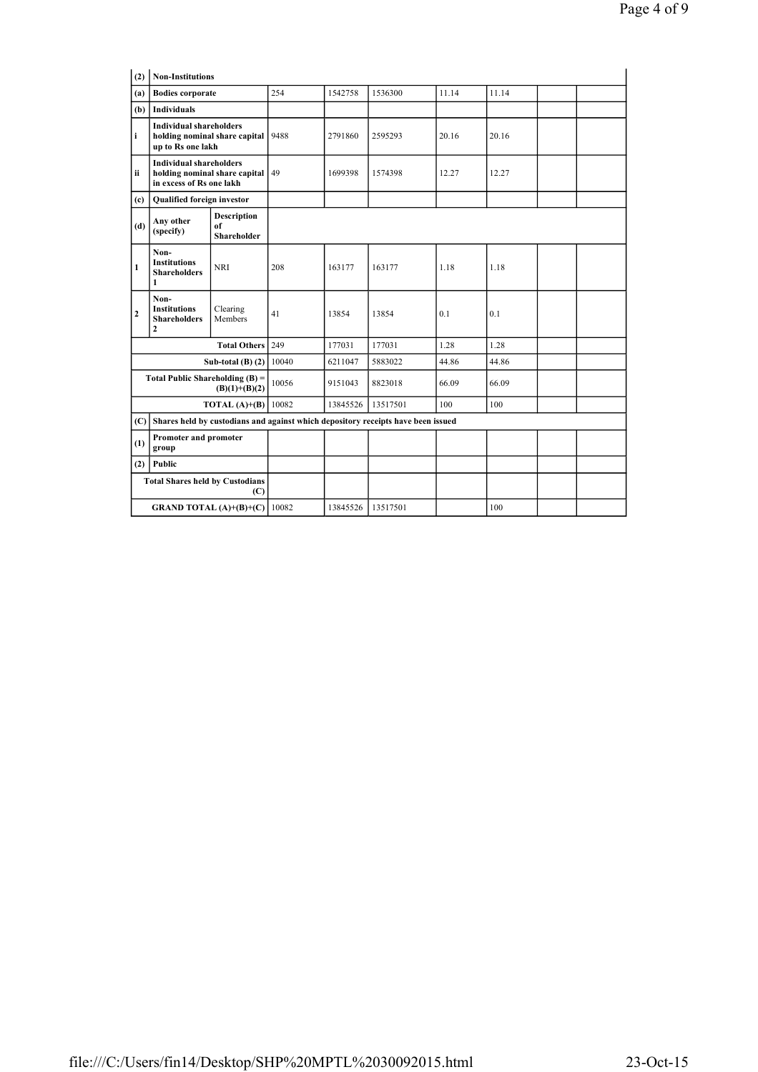| (2)                                                                             | <b>Non-Institutions</b>                                                                     |                               |       |          |                                                                                  |       |       |  |  |  |
|---------------------------------------------------------------------------------|---------------------------------------------------------------------------------------------|-------------------------------|-------|----------|----------------------------------------------------------------------------------|-------|-------|--|--|--|
| (a)                                                                             | <b>Bodies corporate</b>                                                                     |                               | 254   | 1542758  | 1536300                                                                          | 11.14 | 11.14 |  |  |  |
| (b)                                                                             | <b>Individuals</b>                                                                          |                               |       |          |                                                                                  |       |       |  |  |  |
| i                                                                               | <b>Individual shareholders</b><br>up to Rs one lakh                                         | holding nominal share capital | 9488  | 2791860  | 2595293                                                                          | 20.16 | 20.16 |  |  |  |
| ii                                                                              | <b>Individual shareholders</b><br>holding nominal share capital<br>in excess of Rs one lakh |                               | 49    | 1699398  | 1574398                                                                          | 12.27 | 12.27 |  |  |  |
| (c)                                                                             | Qualified foreign investor                                                                  |                               |       |          |                                                                                  |       |       |  |  |  |
| <b>Description</b><br>Any other<br>of<br>(d)<br>(specify)<br><b>Shareholder</b> |                                                                                             |                               |       |          |                                                                                  |       |       |  |  |  |
| 1                                                                               | Non-<br><b>Institutions</b><br><b>Shareholders</b><br>1                                     | <b>NRI</b>                    | 208   | 163177   | 163177                                                                           | 1.18  | 1.18  |  |  |  |
| $\overline{c}$                                                                  | Non-<br><b>Institutions</b><br><b>Shareholders</b><br>$\overline{2}$                        | Clearing<br>Members           | 41    | 13854    | 13854                                                                            | 0.1   | 0.1   |  |  |  |
|                                                                                 |                                                                                             | <b>Total Others</b>           | 249   | 177031   | 177031                                                                           | 1.28  | 1.28  |  |  |  |
|                                                                                 |                                                                                             | Sub-total $(B)$ $(2)$         | 10040 | 6211047  | 5883022                                                                          | 44.86 | 44.86 |  |  |  |
|                                                                                 | Total Public Shareholding $(B)$ =                                                           | $(B)(1)+(B)(2)$               | 10056 | 9151043  | 8823018                                                                          | 66.09 | 66.09 |  |  |  |
|                                                                                 |                                                                                             | TOTAL $(A)+(B)$               | 10082 | 13845526 | 13517501                                                                         | 100   | 100   |  |  |  |
| (C)                                                                             |                                                                                             |                               |       |          | Shares held by custodians and against which depository receipts have been issued |       |       |  |  |  |
| Promoter and promoter<br>(1)<br>group                                           |                                                                                             |                               |       |          |                                                                                  |       |       |  |  |  |
| (2)                                                                             | Public                                                                                      |                               |       |          |                                                                                  |       |       |  |  |  |
|                                                                                 | <b>Total Shares held by Custodians</b>                                                      | (C)                           |       |          |                                                                                  |       |       |  |  |  |
|                                                                                 | <b>GRAND TOTAL</b> $(A)+(B)+(C)$                                                            |                               | 10082 | 13845526 | 13517501                                                                         |       | 100   |  |  |  |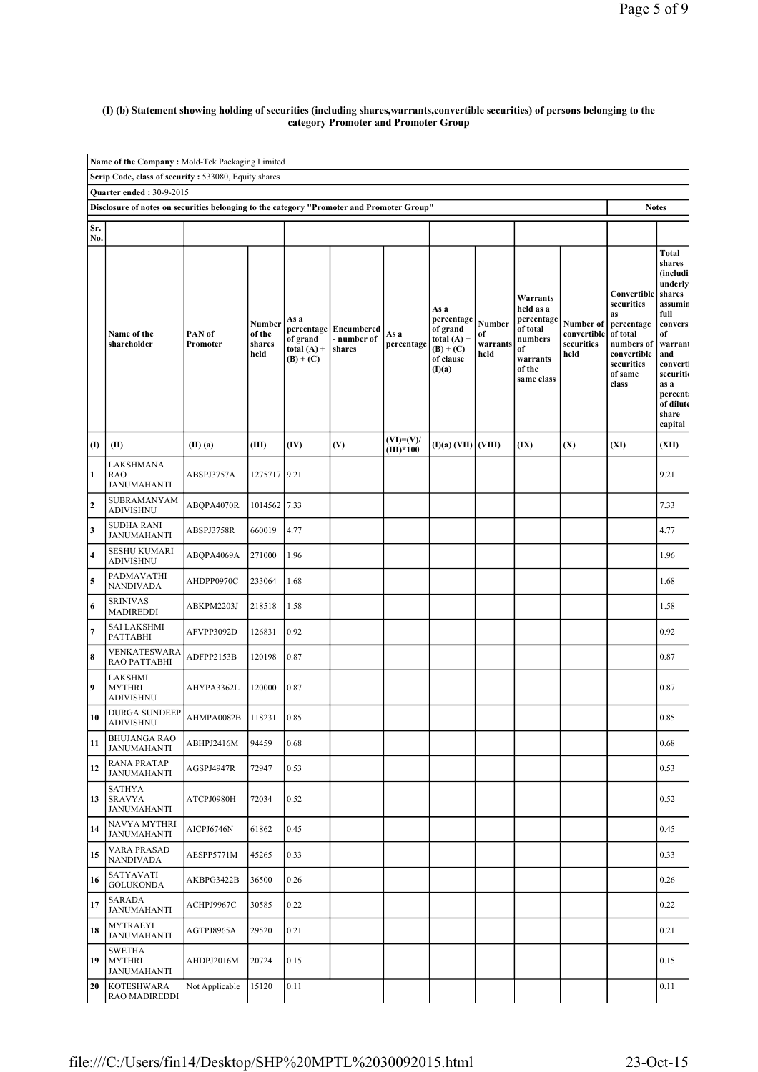#### (I) (b) Statement showing holding of securities (including shares,warrants,convertible securities) of persons belonging to the category Promoter and Promoter Group

|                         | Name of the Company: Mold-Tek Packaging Limited                                                                                              |                    |                                    |                                                  |                                                |                            |                                                                                       |                                  |                                                                                                      |                                                |                                                                                                                          |                                                                                                                                                                                              |  |
|-------------------------|----------------------------------------------------------------------------------------------------------------------------------------------|--------------------|------------------------------------|--------------------------------------------------|------------------------------------------------|----------------------------|---------------------------------------------------------------------------------------|----------------------------------|------------------------------------------------------------------------------------------------------|------------------------------------------------|--------------------------------------------------------------------------------------------------------------------------|----------------------------------------------------------------------------------------------------------------------------------------------------------------------------------------------|--|
|                         | Scrip Code, class of security: 533080, Equity shares                                                                                         |                    |                                    |                                                  |                                                |                            |                                                                                       |                                  |                                                                                                      |                                                |                                                                                                                          |                                                                                                                                                                                              |  |
|                         | <b>Quarter ended: 30-9-2015</b><br>Disclosure of notes on securities belonging to the category "Promoter and Promoter Group"<br><b>Notes</b> |                    |                                    |                                                  |                                                |                            |                                                                                       |                                  |                                                                                                      |                                                |                                                                                                                          |                                                                                                                                                                                              |  |
|                         |                                                                                                                                              |                    |                                    |                                                  |                                                |                            |                                                                                       |                                  |                                                                                                      |                                                |                                                                                                                          |                                                                                                                                                                                              |  |
| Sr.<br>No.              |                                                                                                                                              |                    |                                    |                                                  |                                                |                            |                                                                                       |                                  |                                                                                                      |                                                |                                                                                                                          |                                                                                                                                                                                              |  |
|                         | Name of the<br>shareholder                                                                                                                   | PAN of<br>Promoter | Number<br>of the<br>shares<br>held | As a<br>of grand<br>total $(A)$ +<br>$(B) + (C)$ | percentage Encumbered<br>- number of<br>shares | As a<br>percentage         | As a<br>percentage<br>of grand<br>total $(A)$ +<br>$(B) + (C)$<br>of clause<br>(I)(a) | Number<br>of<br>warrants<br>held | Warrants<br>held as a<br>percentage<br>of total<br>numbers<br>of<br>warrants<br>of the<br>same class | Number of<br>convertible<br>securities<br>held | Convertible<br>securities<br>as<br>percentage<br>of total<br>numbers of<br>convertible<br>securities<br>of same<br>class | <b>Total</b><br>shares<br>(includi<br>underly<br>shares<br>assumin<br>full<br>conversi<br>of<br>warrant<br>and<br>converti<br>securitio<br>as a<br>percent:<br>of dilute<br>share<br>capital |  |
| $\mathbf{I}$            | (II)                                                                                                                                         | (II)(a)            | (III)                              | (IV)                                             | (V)                                            | $(VI)=(V)/$<br>$(III)*100$ | (I)(a) (VII) (VIII)                                                                   |                                  | (IX)                                                                                                 | (X)                                            | (XI)                                                                                                                     | (XII)                                                                                                                                                                                        |  |
| $\mathbf{1}$            | LAKSHMANA<br><b>RAO</b><br>JANUMAHANTI                                                                                                       | ABSPJ3757A         | 1275717 9.21                       |                                                  |                                                |                            |                                                                                       |                                  |                                                                                                      |                                                |                                                                                                                          | 9.21                                                                                                                                                                                         |  |
| $\overline{\mathbf{c}}$ | SUBRAMANYAM<br><b>ADIVISHNU</b>                                                                                                              | ABQPA4070R         | 1014562 7.33                       |                                                  |                                                |                            |                                                                                       |                                  |                                                                                                      |                                                |                                                                                                                          | 7.33                                                                                                                                                                                         |  |
| $\mathbf{3}$            | <b>SUDHA RANI</b><br><b>JANUMAHANTI</b>                                                                                                      | ABSPJ3758R         | 660019                             | 4.77                                             |                                                |                            |                                                                                       |                                  |                                                                                                      |                                                |                                                                                                                          | 4.77                                                                                                                                                                                         |  |
| $\overline{\mathbf{4}}$ | <b>SESHU KUMARI</b><br><b>ADIVISHNU</b>                                                                                                      | ABQPA4069A         | 271000                             | 1.96                                             |                                                |                            |                                                                                       |                                  |                                                                                                      |                                                |                                                                                                                          | 1.96                                                                                                                                                                                         |  |
| $\overline{\mathbf{5}}$ | PADMAVATHI<br><b>NANDIVADA</b>                                                                                                               | AHDPP0970C         | 233064                             | 1.68                                             |                                                |                            |                                                                                       |                                  |                                                                                                      |                                                |                                                                                                                          | 1.68                                                                                                                                                                                         |  |
| $\boldsymbol{6}$        | <b>SRINIVAS</b><br><b>MADIREDDI</b>                                                                                                          | ABKPM2203J         | 218518                             | 1.58                                             |                                                |                            |                                                                                       |                                  |                                                                                                      |                                                |                                                                                                                          | 1.58                                                                                                                                                                                         |  |
| $\overline{7}$          | <b>SAI LAKSHMI</b><br><b>PATTABHI</b>                                                                                                        | AFVPP3092D         | 126831                             | 0.92                                             |                                                |                            |                                                                                       |                                  |                                                                                                      |                                                |                                                                                                                          | 0.92                                                                                                                                                                                         |  |
| $\pmb{8}$               | VENKATESWARA<br>RAO PATTABHI                                                                                                                 | ADFPP2153B         | 120198                             | 0.87                                             |                                                |                            |                                                                                       |                                  |                                                                                                      |                                                |                                                                                                                          | 0.87                                                                                                                                                                                         |  |
| 9                       | LAKSHMI<br><b>MYTHRI</b><br><b>ADIVISHNU</b>                                                                                                 | AHYPA3362L         | 120000                             | 0.87                                             |                                                |                            |                                                                                       |                                  |                                                                                                      |                                                |                                                                                                                          | 0.87                                                                                                                                                                                         |  |
| 10                      | <b>DURGA SUNDEEP</b><br><b>ADIVISHNU</b>                                                                                                     | AHMPA0082B         | 118231                             | 0.85                                             |                                                |                            |                                                                                       |                                  |                                                                                                      |                                                |                                                                                                                          | 0.85                                                                                                                                                                                         |  |
| 11                      | <b>BHUJANGA RAO</b><br><b>JANUMAHANTI</b>                                                                                                    | ABHPJ2416M         | 94459                              | 0.68                                             |                                                |                            |                                                                                       |                                  |                                                                                                      |                                                |                                                                                                                          | 0.68                                                                                                                                                                                         |  |
| 12                      | <b>RANA PRATAP</b><br><b>JANUMAHANTI</b>                                                                                                     | AGSPJ4947R         | 72947                              | 0.53                                             |                                                |                            |                                                                                       |                                  |                                                                                                      |                                                |                                                                                                                          | 0.53                                                                                                                                                                                         |  |
| 13                      | <b>SATHYA</b><br><b>SRAVYA</b><br><b>JANUMAHANTI</b>                                                                                         | ATCPJ0980H         | 72034                              | 0.52                                             |                                                |                            |                                                                                       |                                  |                                                                                                      |                                                |                                                                                                                          | 0.52                                                                                                                                                                                         |  |
| 14                      | <b>NAVYA MYTHRI</b><br><b>JANUMAHANTI</b>                                                                                                    | AICPJ6746N         | 61862                              | 0.45                                             |                                                |                            |                                                                                       |                                  |                                                                                                      |                                                |                                                                                                                          | 0.45                                                                                                                                                                                         |  |
| 15                      | <b>VARA PRASAD</b><br><b>NANDIVADA</b>                                                                                                       | AESPP5771M         | 45265                              | 0.33                                             |                                                |                            |                                                                                       |                                  |                                                                                                      |                                                |                                                                                                                          | 0.33                                                                                                                                                                                         |  |
| 16                      | SATYAVATI<br><b>GOLUKONDA</b>                                                                                                                | AKBPG3422B         | 36500                              | 0.26                                             |                                                |                            |                                                                                       |                                  |                                                                                                      |                                                |                                                                                                                          | 0.26                                                                                                                                                                                         |  |
| 17                      | SARADA<br><b>JANUMAHANTI</b>                                                                                                                 | ACHPJ9967C         | 30585                              | 0.22                                             |                                                |                            |                                                                                       |                                  |                                                                                                      |                                                |                                                                                                                          | 0.22                                                                                                                                                                                         |  |
| 18                      | <b>MYTRAEYI</b><br><b>JANUMAHANTI</b>                                                                                                        | AGTPJ8965A         | 29520                              | 0.21                                             |                                                |                            |                                                                                       |                                  |                                                                                                      |                                                |                                                                                                                          | 0.21                                                                                                                                                                                         |  |
| 19                      | <b>SWETHA</b><br><b>MYTHRI</b><br><b>JANUMAHANTI</b>                                                                                         | AHDPJ2016M         | 20724                              | 0.15                                             |                                                |                            |                                                                                       |                                  |                                                                                                      |                                                |                                                                                                                          | 0.15                                                                                                                                                                                         |  |
| 20                      | <b>KOTESHWARA</b><br>RAO MADIREDDI                                                                                                           | Not Applicable     | 15120                              | 0.11                                             |                                                |                            |                                                                                       |                                  |                                                                                                      |                                                |                                                                                                                          | 0.11                                                                                                                                                                                         |  |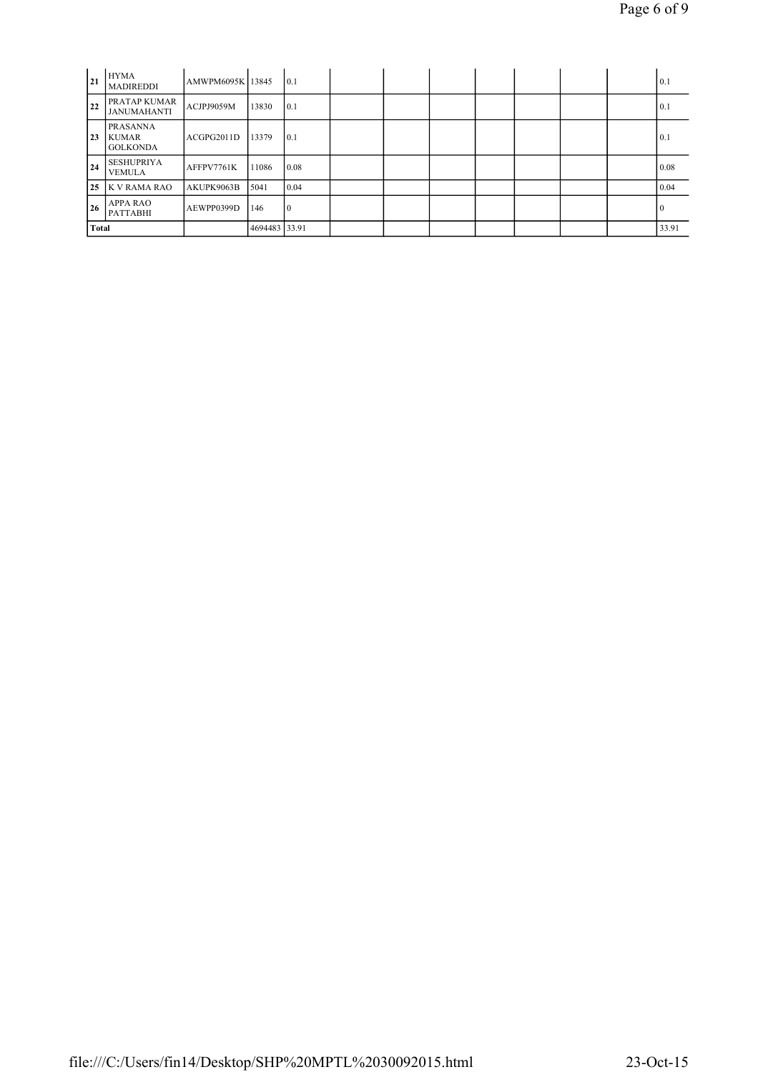| 21 | <b>HYMA</b><br><b>MADIREDDI</b>                    | AMWPM6095K 13845 |               | 0.1  |  |  |  | 0.1   |
|----|----------------------------------------------------|------------------|---------------|------|--|--|--|-------|
| 22 | <b>PRATAP KUMAR</b><br><b>JANUMAHANTI</b>          | ACJPJ9059M       | 13830         | 0.1  |  |  |  | 0.1   |
| 23 | <b>PRASANNA</b><br><b>KUMAR</b><br><b>GOLKONDA</b> | ACGPG2011D       | 13379         | 0.1  |  |  |  | 0.1   |
| 24 | <b>SESHUPRIYA</b><br><b>VEMULA</b>                 | AFFPV7761K       | 11086         | 0.08 |  |  |  | 0.08  |
|    | 25 K V RAMA RAO                                    | AKUPK9063B       | 5041          | 0.04 |  |  |  | 0.04  |
| 26 | <b>APPA RAO</b><br><b>PATTABHI</b>                 | AEWPP0399D       | 146           | 10   |  |  |  |       |
|    | <b>Total</b>                                       |                  | 4694483 33.91 |      |  |  |  | 33.91 |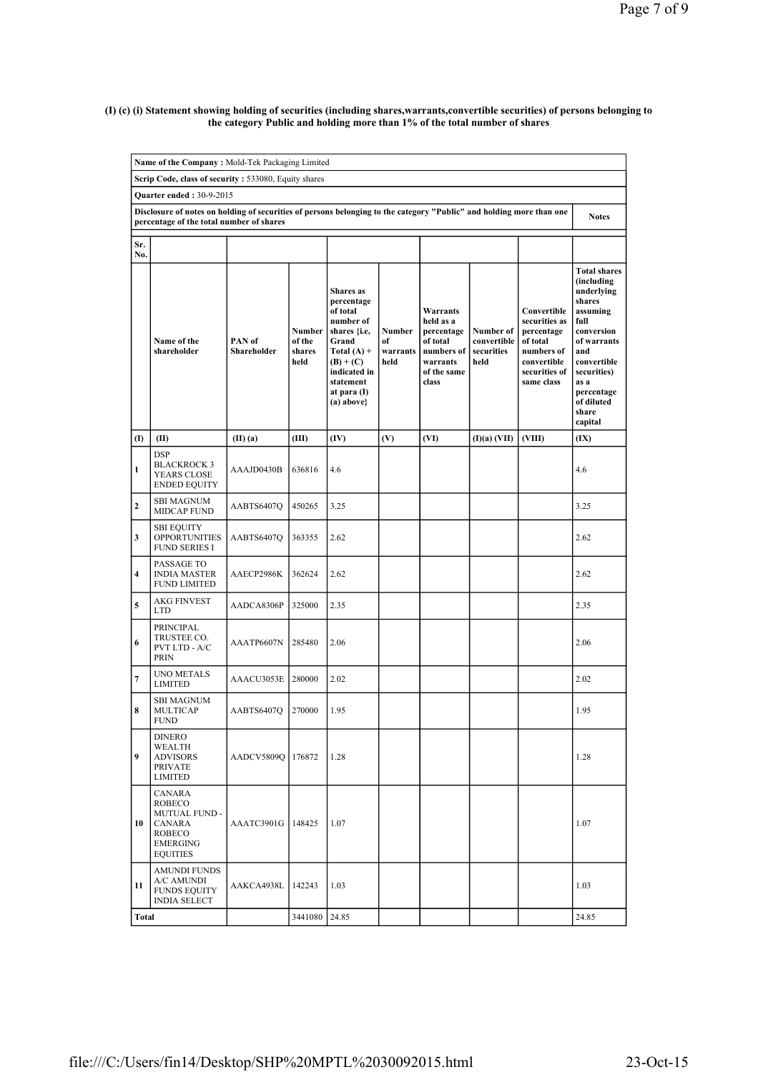#### (I) (c) (i) Statement showing holding of securities (including shares,warrants,convertible securities) of persons belonging to the category Public and holding more than 1% of the total number of shares

|              | Name of the Company: Mold-Tek Packaging Limited                                                                                                                  |                       |                                           |                                                                                                                                                                            |                                  |                                                                                                   |                                                |                                                                                                                    |                                                                                                                                                                                                         |  |  |  |  |
|--------------|------------------------------------------------------------------------------------------------------------------------------------------------------------------|-----------------------|-------------------------------------------|----------------------------------------------------------------------------------------------------------------------------------------------------------------------------|----------------------------------|---------------------------------------------------------------------------------------------------|------------------------------------------------|--------------------------------------------------------------------------------------------------------------------|---------------------------------------------------------------------------------------------------------------------------------------------------------------------------------------------------------|--|--|--|--|
|              | Scrip Code, class of security: 533080, Equity shares                                                                                                             |                       |                                           |                                                                                                                                                                            |                                  |                                                                                                   |                                                |                                                                                                                    |                                                                                                                                                                                                         |  |  |  |  |
|              | Quarter ended: 30-9-2015                                                                                                                                         |                       |                                           |                                                                                                                                                                            |                                  |                                                                                                   |                                                |                                                                                                                    |                                                                                                                                                                                                         |  |  |  |  |
|              | Disclosure of notes on holding of securities of persons belonging to the category "Public" and holding more than one<br>percentage of the total number of shares |                       |                                           |                                                                                                                                                                            |                                  |                                                                                                   |                                                |                                                                                                                    |                                                                                                                                                                                                         |  |  |  |  |
| Sr.<br>No.   |                                                                                                                                                                  |                       |                                           |                                                                                                                                                                            |                                  |                                                                                                   |                                                |                                                                                                                    |                                                                                                                                                                                                         |  |  |  |  |
|              | Name of the<br>shareholder                                                                                                                                       | PAN of<br>Shareholder | <b>Number</b><br>of the<br>shares<br>held | <b>Shares</b> as<br>percentage<br>of total<br>number of<br>shares {i.e,<br>Grand<br>Total $(A)$ +<br>$(B) + (C)$<br>indicated in<br>statement<br>at para (I)<br>(a) above} | Number<br>of<br>warrants<br>held | Warrants<br>held as a<br>percentage<br>of total<br>numbers of<br>warrants<br>of the same<br>class | Number of<br>convertible<br>securities<br>held | Convertible<br>securities as<br>percentage<br>of total<br>numbers of<br>convertible<br>securities of<br>same class | <b>Total shares</b><br>(including<br>underlying<br>shares<br>assuming<br>full<br>conversion<br>of warrants<br>and<br>convertible<br>securities)<br>as a<br>percentage<br>of diluted<br>share<br>capital |  |  |  |  |
| (I)          | (II)                                                                                                                                                             | $(II)$ $(a)$          | (III)                                     | (IV)                                                                                                                                                                       | (V)                              | (VI)                                                                                              | (I)(a) (VII)                                   | (VIII)                                                                                                             | (IX)                                                                                                                                                                                                    |  |  |  |  |
| $\mathbf{1}$ | <b>DSP</b><br><b>BLACKROCK 3</b><br>YEARS CLOSE<br><b>ENDED EQUITY</b>                                                                                           | AAAJD0430B            | 636816                                    | 4.6                                                                                                                                                                        |                                  |                                                                                                   |                                                |                                                                                                                    | 4.6                                                                                                                                                                                                     |  |  |  |  |
| 2            | SBI MAGNUM<br>MIDCAP FUND                                                                                                                                        | AABTS6407O            | 450265                                    | 3.25                                                                                                                                                                       |                                  |                                                                                                   |                                                |                                                                                                                    | 3.25                                                                                                                                                                                                    |  |  |  |  |
| 3            | <b>SBI EQUITY</b><br><b>OPPORTUNITIES</b><br><b>FUND SERIES I</b>                                                                                                | AABTS6407Q            | 363355                                    | 2.62                                                                                                                                                                       |                                  |                                                                                                   |                                                |                                                                                                                    | 2.62                                                                                                                                                                                                    |  |  |  |  |
| 4            | PASSAGE TO<br><b>INDIA MASTER</b><br><b>FUND LIMITED</b>                                                                                                         | AAECP2986K            | 362624                                    | 2.62                                                                                                                                                                       |                                  |                                                                                                   |                                                |                                                                                                                    | 2.62                                                                                                                                                                                                    |  |  |  |  |
| 5            | <b>AKG FINVEST</b><br><b>LTD</b>                                                                                                                                 | AADCA8306P            | 325000                                    | 2.35                                                                                                                                                                       |                                  |                                                                                                   |                                                |                                                                                                                    | 2.35                                                                                                                                                                                                    |  |  |  |  |
| 6            | PRINCIPAL<br>TRUSTEE CO.<br>PVT LTD - A/C<br><b>PRIN</b>                                                                                                         | AAATP6607N            | 285480                                    | 2.06                                                                                                                                                                       |                                  |                                                                                                   |                                                |                                                                                                                    | 2.06                                                                                                                                                                                                    |  |  |  |  |
| 7            | <b>UNO METALS</b><br><b>LIMITED</b>                                                                                                                              | AAACU3053E            | 280000                                    | 2.02                                                                                                                                                                       |                                  |                                                                                                   |                                                |                                                                                                                    | 2.02                                                                                                                                                                                                    |  |  |  |  |
| 8            | <b>SBI MAGNUM</b><br><b>MULTICAP</b><br><b>FUND</b>                                                                                                              | AABTS6407Q            | 270000                                    | 1.95                                                                                                                                                                       |                                  |                                                                                                   |                                                |                                                                                                                    | 1.95                                                                                                                                                                                                    |  |  |  |  |
| 9            | DINERO<br>WEALTH<br><b>ADVISORS</b><br><b>PRIVATE</b><br><b>LIMITED</b>                                                                                          | AADCV5809Q            | 176872                                    | 1.28                                                                                                                                                                       |                                  |                                                                                                   |                                                |                                                                                                                    | 1.28                                                                                                                                                                                                    |  |  |  |  |
| 10           | CANARA<br>ROBECO<br>MUTUAL FUND -<br><b>CANARA</b><br><b>ROBECO</b><br>EMERGING<br><b>EQUITIES</b>                                                               | AAATC3901G            | 148425                                    | 1.07                                                                                                                                                                       |                                  |                                                                                                   |                                                |                                                                                                                    | 1.07                                                                                                                                                                                                    |  |  |  |  |
| 11           | AMUNDI FUNDS<br>A/C AMUNDI<br><b>FUNDS EQUITY</b><br><b>INDIA SELECT</b>                                                                                         | AAKCA4938L            | 142243                                    | 1.03                                                                                                                                                                       |                                  |                                                                                                   |                                                |                                                                                                                    | 1.03                                                                                                                                                                                                    |  |  |  |  |
| Total        |                                                                                                                                                                  |                       | 3441080                                   | 24.85                                                                                                                                                                      |                                  |                                                                                                   |                                                |                                                                                                                    | 24.85                                                                                                                                                                                                   |  |  |  |  |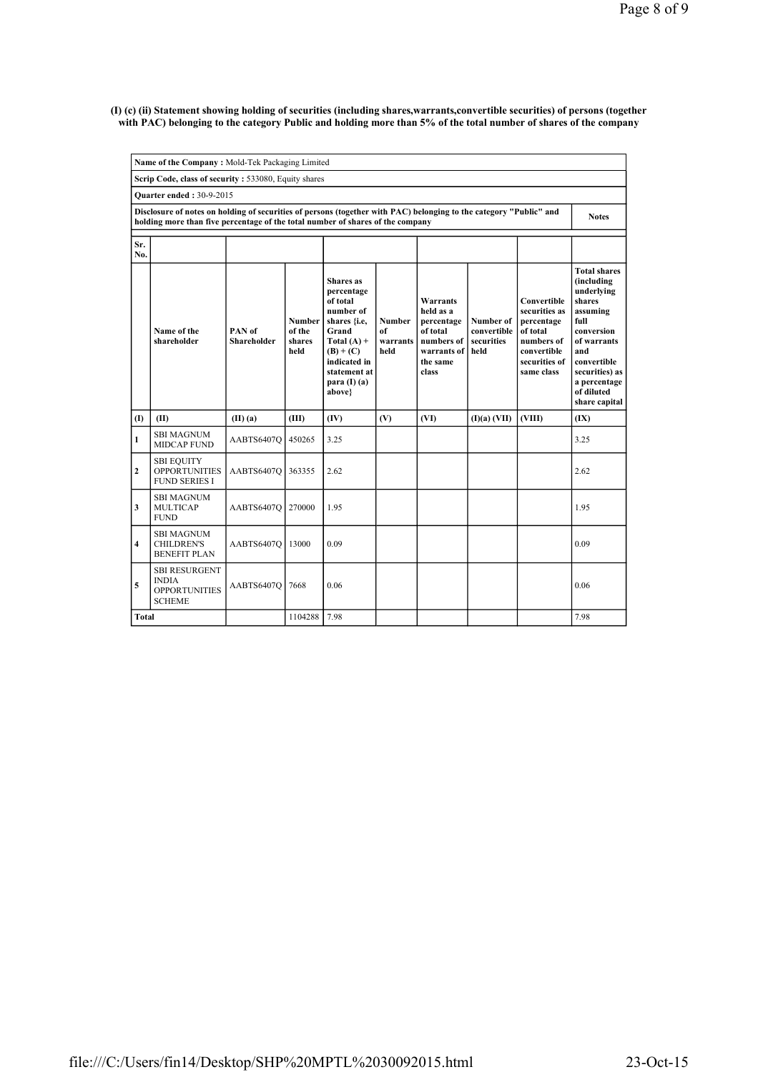(I) (c) (ii) Statement showing holding of securities (including shares,warrants,convertible securities) of persons (together with PAC) belonging to the category Public and holding more than 5% of the total number of shares of the company

|                         | Name of the Company: Mold-Tek Packaging Limited                                                                                                                                                      |                              |                                    |                                                                                                                                                                                      |                                  |                                                                                                   |                                                |                                                                                                                    |                                                                                                                                                                                                   |
|-------------------------|------------------------------------------------------------------------------------------------------------------------------------------------------------------------------------------------------|------------------------------|------------------------------------|--------------------------------------------------------------------------------------------------------------------------------------------------------------------------------------|----------------------------------|---------------------------------------------------------------------------------------------------|------------------------------------------------|--------------------------------------------------------------------------------------------------------------------|---------------------------------------------------------------------------------------------------------------------------------------------------------------------------------------------------|
|                         | Scrip Code, class of security: 533080, Equity shares                                                                                                                                                 |                              |                                    |                                                                                                                                                                                      |                                  |                                                                                                   |                                                |                                                                                                                    |                                                                                                                                                                                                   |
|                         | <b>Ouarter ended: 30-9-2015</b>                                                                                                                                                                      |                              |                                    |                                                                                                                                                                                      |                                  |                                                                                                   |                                                |                                                                                                                    |                                                                                                                                                                                                   |
|                         | Disclosure of notes on holding of securities of persons (together with PAC) belonging to the category "Public" and<br>holding more than five percentage of the total number of shares of the company |                              |                                    |                                                                                                                                                                                      |                                  |                                                                                                   |                                                |                                                                                                                    | <b>Notes</b>                                                                                                                                                                                      |
| Sr.<br>No.              |                                                                                                                                                                                                      |                              |                                    |                                                                                                                                                                                      |                                  |                                                                                                   |                                                |                                                                                                                    |                                                                                                                                                                                                   |
|                         | Name of the<br>shareholder                                                                                                                                                                           | PAN of<br><b>Shareholder</b> | Number<br>of the<br>shares<br>held | <b>Shares</b> as<br>percentage<br>of total<br>number of<br>shares { <i>i.e.</i><br>Grand<br>Total $(A)$ +<br>$(B) + (C)$<br>indicated in<br>statement at<br>para $(I)$ (a)<br>above} | Number<br>of<br>warrants<br>held | Warrants<br>held as a<br>percentage<br>of total<br>numbers of<br>warrants of<br>the same<br>class | Number of<br>convertible<br>securities<br>held | Convertible<br>securities as<br>percentage<br>of total<br>numbers of<br>convertible<br>securities of<br>same class | <b>Total shares</b><br>(including<br>underlying<br>shares<br>assuming<br>full<br>conversion<br>of warrants<br>and<br>convertible<br>securities) as<br>a percentage<br>of diluted<br>share capital |
| $\mathbf{I}$            | (II)                                                                                                                                                                                                 | (II)(a)                      | (III)                              | (IV)                                                                                                                                                                                 | (V)                              | (VI)                                                                                              | (I)(a) (VII)                                   | (VIII)                                                                                                             | (IX)                                                                                                                                                                                              |
| $\mathbf{1}$            | <b>SBI MAGNUM</b><br><b>MIDCAP FUND</b>                                                                                                                                                              | AABTS6407Q                   | 450265                             | 3.25                                                                                                                                                                                 |                                  |                                                                                                   |                                                |                                                                                                                    | 3.25                                                                                                                                                                                              |
| $\mathbf{2}$            | <b>SBI EQUITY</b><br><b>OPPORTUNITIES</b><br><b>FUND SERIES I</b>                                                                                                                                    | AABTS6407Q                   | 363355                             | 2.62                                                                                                                                                                                 |                                  |                                                                                                   |                                                |                                                                                                                    | 2.62                                                                                                                                                                                              |
| 3                       | <b>SBI MAGNUM</b><br><b>MULTICAP</b><br><b>FUND</b>                                                                                                                                                  | AABTS6407Q                   | 270000                             | 1.95                                                                                                                                                                                 |                                  |                                                                                                   |                                                |                                                                                                                    | 1.95                                                                                                                                                                                              |
| $\overline{\mathbf{4}}$ | <b>SBI MAGNUM</b><br><b>CHILDREN'S</b><br><b>BENEFIT PLAN</b>                                                                                                                                        | AABTS6407O                   | 13000                              | 0.09                                                                                                                                                                                 |                                  |                                                                                                   |                                                |                                                                                                                    | 0.09                                                                                                                                                                                              |
| 5                       | <b>SBI RESURGENT</b><br><b>INDIA</b><br><b>OPPORTUNITIES</b><br><b>SCHEME</b>                                                                                                                        | AABTS6407Q                   | 7668                               | 0.06                                                                                                                                                                                 |                                  |                                                                                                   |                                                |                                                                                                                    | 0.06                                                                                                                                                                                              |
| Total                   |                                                                                                                                                                                                      |                              | 1104288                            | 7.98                                                                                                                                                                                 |                                  |                                                                                                   |                                                |                                                                                                                    | 7.98                                                                                                                                                                                              |